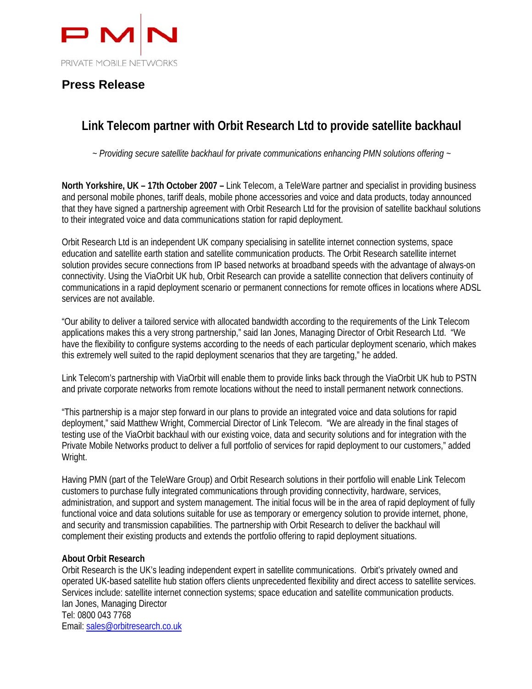

## **Press Release**

# **Link Telecom partner with Orbit Research Ltd to provide satellite backhaul**

*~ Providing secure satellite backhaul for private communications enhancing PMN solutions offering ~* 

**North Yorkshire, UK – 17th October 2007 –** Link Telecom, a TeleWare partner and specialist in providing business and personal mobile phones, tariff deals, mobile phone accessories and voice and data products, today announced that they have signed a partnership agreement with Orbit Research Ltd for the provision of satellite backhaul solutions to their integrated voice and data communications station for rapid deployment.

Orbit Research Ltd is an independent UK company specialising in satellite internet connection systems, space education and satellite earth station and satellite communication products. The Orbit Research satellite internet solution provides secure connections from IP based networks at broadband speeds with the advantage of always-on connectivity. Using the ViaOrbit UK hub, Orbit Research can provide a satellite connection that delivers continuity of communications in a rapid deployment scenario or permanent connections for remote offices in locations where ADSL services are not available.

"Our ability to deliver a tailored service with allocated bandwidth according to the requirements of the Link Telecom applications makes this a very strong partnership," said Ian Jones, Managing Director of Orbit Research Ltd. "We have the flexibility to configure systems according to the needs of each particular deployment scenario, which makes this extremely well suited to the rapid deployment scenarios that they are targeting," he added.

Link Telecom's partnership with ViaOrbit will enable them to provide links back through the ViaOrbit UK hub to PSTN and private corporate networks from remote locations without the need to install permanent network connections.

"This partnership is a major step forward in our plans to provide an integrated voice and data solutions for rapid deployment," said Matthew Wright, Commercial Director of Link Telecom. "We are already in the final stages of testing use of the ViaOrbit backhaul with our existing voice, data and security solutions and for integration with the Private Mobile Networks product to deliver a full portfolio of services for rapid deployment to our customers," added Wright.

Having PMN (part of the TeleWare Group) and Orbit Research solutions in their portfolio will enable Link Telecom customers to purchase fully integrated communications through providing connectivity, hardware, services, administration, and support and system management. The initial focus will be in the area of rapid deployment of fully functional voice and data solutions suitable for use as temporary or emergency solution to provide internet, phone, and security and transmission capabilities. The partnership with Orbit Research to deliver the backhaul will complement their existing products and extends the portfolio offering to rapid deployment situations.

### **About Orbit Research**

Orbit Research is the UK's leading independent expert in satellite communications. Orbit's privately owned and operated UK-based satellite hub station offers clients unprecedented flexibility and direct access to satellite services. Services include: satellite internet connection systems; space education and satellite communication products. Ian Jones, Managing Director Tel: 0800 043 7768 Email: sales@orbitresearch.co.uk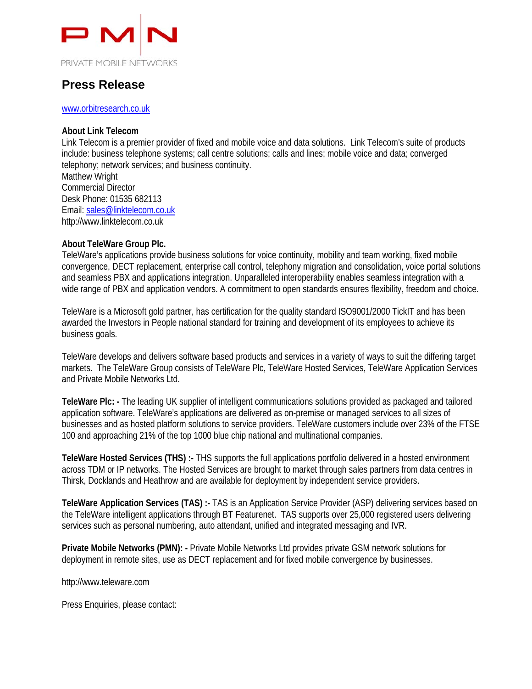

## **Press Release**

#### www.orbitresearch.co.uk

#### **About Link Telecom**

Link Telecom is a premier provider of fixed and mobile voice and data solutions. Link Telecom's suite of products include: business telephone systems; call centre solutions; calls and lines; mobile voice and data; converged telephony; network services; and business continuity.

Matthew Wright Commercial Director Desk Phone: 01535 682113 Email: sales@linktelecom.co.uk http://www.linktelecom.co.uk

#### **About TeleWare Group Plc.**

TeleWare's applications provide business solutions for voice continuity, mobility and team working, fixed mobile convergence, DECT replacement, enterprise call control, telephony migration and consolidation, voice portal solutions and seamless PBX and applications integration. Unparalleled interoperability enables seamless integration with a wide range of PBX and application vendors. A commitment to open standards ensures flexibility, freedom and choice.

TeleWare is a Microsoft gold partner, has certification for the quality standard ISO9001/2000 TickIT and has been awarded the Investors in People national standard for training and development of its employees to achieve its business goals.

TeleWare develops and delivers software based products and services in a variety of ways to suit the differing target markets. The TeleWare Group consists of TeleWare Plc, TeleWare Hosted Services, TeleWare Application Services and Private Mobile Networks Ltd.

**TeleWare Plc: -** The leading UK supplier of intelligent communications solutions provided as packaged and tailored application software. TeleWare's applications are delivered as on-premise or managed services to all sizes of businesses and as hosted platform solutions to service providers. TeleWare customers include over 23% of the FTSE 100 and approaching 21% of the top 1000 blue chip national and multinational companies.

**TeleWare Hosted Services (THS) :-** THS supports the full applications portfolio delivered in a hosted environment across TDM or IP networks. The Hosted Services are brought to market through sales partners from data centres in Thirsk, Docklands and Heathrow and are available for deployment by independent service providers.

**TeleWare Application Services (TAS) :-** TAS is an Application Service Provider (ASP) delivering services based on the TeleWare intelligent applications through BT Featurenet. TAS supports over 25,000 registered users delivering services such as personal numbering, auto attendant, unified and integrated messaging and IVR.

**Private Mobile Networks (PMN): -** Private Mobile Networks Ltd provides private GSM network solutions for deployment in remote sites, use as DECT replacement and for fixed mobile convergence by businesses.

http://www.teleware.com

Press Enquiries, please contact: